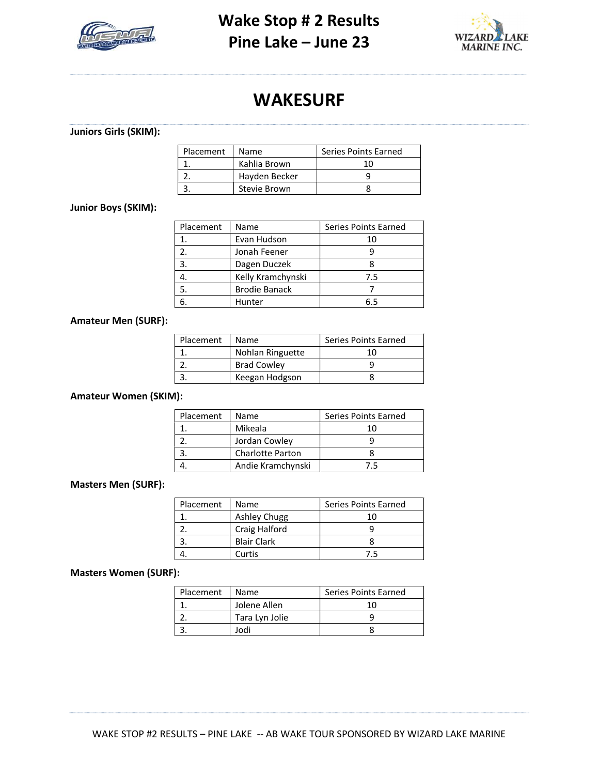



# WAKESURF

# Juniors Girls (SKIM):

| Placement | Name          | Series Points Earned |
|-----------|---------------|----------------------|
|           | Kahlia Brown  |                      |
|           | Hayden Becker |                      |
|           | Stevie Brown  |                      |

#### Junior Boys (SKIM):

| Placement | Name                 | Series Points Earned |
|-----------|----------------------|----------------------|
|           | Evan Hudson          | 10                   |
| 2.        | Jonah Feener         |                      |
| 3.        | Dagen Duczek         |                      |
|           | Kelly Kramchynski    | 7.5                  |
| 5.        | <b>Brodie Banack</b> |                      |
| 6.        | Hunter               | հ 5                  |

#### Amateur Men (SURF):

| Placement | Name               | Series Points Earned |
|-----------|--------------------|----------------------|
|           | Nohlan Ringuette   | 10                   |
|           | <b>Brad Cowley</b> |                      |
| 3         | Keegan Hodgson     |                      |
|           |                    |                      |

## Amateur Women (SKIM):

| Placement | Name                    | Series Points Earned |
|-----------|-------------------------|----------------------|
|           | Mikeala                 |                      |
|           | Jordan Cowley           |                      |
|           | <b>Charlotte Parton</b> |                      |
|           | Andie Kramchynski       | 75                   |

### Masters Men (SURF):

| Placement | Name                | <b>Series Points Earned</b> |
|-----------|---------------------|-----------------------------|
|           | <b>Ashley Chugg</b> | 1Ω                          |
|           | Craig Halford       |                             |
|           | <b>Blair Clark</b>  |                             |
|           | Curtis              | 75                          |

#### Masters Women (SURF):

| Placement | Name           | Series Points Earned |
|-----------|----------------|----------------------|
|           | Jolene Allen   |                      |
|           | Tara Lyn Jolie |                      |
|           | Jodi           |                      |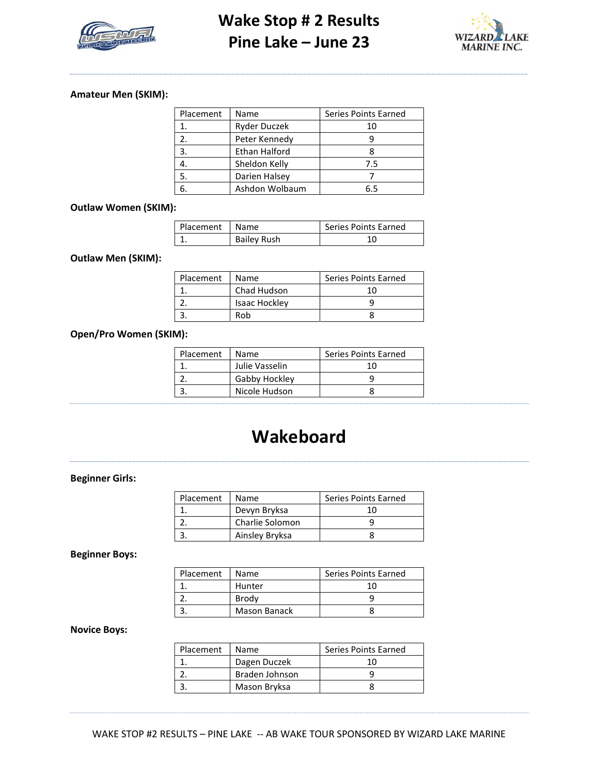



#### Amateur Men (SKIM):

| Placement | Name           | Series Points Earned |
|-----------|----------------|----------------------|
|           | Ryder Duczek   | 10                   |
|           | Peter Kennedy  |                      |
| 3.        | Ethan Halford  |                      |
|           | Sheldon Kelly  | 7.5                  |
| 5.        | Darien Halsey  |                      |
|           | Ashdon Wolbaum | հ 5                  |

#### Outlaw Women (SKIM):

| Placement | Name               | Series Points Earned |
|-----------|--------------------|----------------------|
|           | <b>Bailey Rush</b> |                      |

#### Outlaw Men (SKIM):

| Placement | Name          | Series Points Earned |
|-----------|---------------|----------------------|
|           | Chad Hudson   | 1Λ                   |
|           | Isaac Hockley |                      |
|           | Rob           |                      |

### Open/Pro Women (SKIM):

| Placement | Name           | Series Points Earned |
|-----------|----------------|----------------------|
|           | Julie Vasselin |                      |
|           | Gabby Hockley  |                      |
|           | Nicole Hudson  |                      |

# Wakeboard

## Beginner Girls:

| Placement | Name            | Series Points Earned |
|-----------|-----------------|----------------------|
|           | Devyn Bryksa    |                      |
|           | Charlie Solomon |                      |
|           | Ainsley Bryksa  |                      |
|           |                 |                      |

Beginner Boys:

| Placement | Name         | Series Points Earned |
|-----------|--------------|----------------------|
|           | Hunter       |                      |
|           | Brody        |                      |
|           | Mason Banack |                      |

#### Novice Boys:

| Placement | <b>Name</b>    | Series Points Earned |
|-----------|----------------|----------------------|
|           | Dagen Duczek   | 10                   |
|           | Braden Johnson |                      |
|           | Mason Bryksa   |                      |